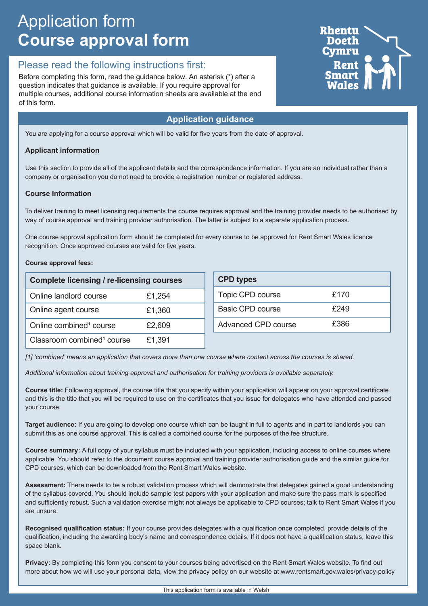# Application form **Course approval form**

## Please read the following instructions first:

Before completing this form, read the guidance below. An asterisk (\*) after a question indicates that guidance is available. If you require approval for multiple courses, additional course information sheets are available at the end of this form.

### **Application guidance**

You are applying for a course approval which will be valid for five years from the date of approval.

#### **Applicant information**

Use this section to provide all of the applicant details and the correspondence information. If you are an individual rather than a company or organisation you do not need to provide a registration number or registered address.

#### **Course Information**

To deliver training to meet licensing requirements the course requires approval and the training provider needs to be authorised by way of course approval and training provider authorisation. The latter is subject to a separate application process.

One course approval application form should be completed for every course to be approved for Rent Smart Wales licence recognition. Once approved courses are valid for five years.

#### **Course approval fees:**

| <b>Complete licensing / re-licensing courses</b> |        | <b>CPD types</b>        |      |
|--------------------------------------------------|--------|-------------------------|------|
| Online landlord course                           | £1,254 | Topic CPD course        | £170 |
| Online agent course                              | £1,360 | <b>Basic CPD course</b> | £249 |
| Online combined <sup>1</sup> course              | £2,609 | Advanced CPD course     | £386 |
| Classroom combined <sup>1</sup> course           | £1,391 |                         |      |

*[1] 'combined' means an application that covers more than one course where content across the courses is shared.* 

*Additional information about training approval and authorisation for training providers is available separately.*

**Course title:** Following approval, the course title that you specify within your application will appear on your approval certificate and this is the title that you will be required to use on the certificates that you issue for delegates who have attended and passed your course.

**Target audience:** If you are going to develop one course which can be taught in full to agents and in part to landlords you can submit this as one course approval. This is called a combined course for the purposes of the fee structure.

**Course summary:** A full copy of your syllabus must be included with your application, including access to online courses where applicable. You should refer to the document course approval and training provider authorisation guide and the similar guide for CPD courses, which can be downloaded from the Rent Smart Wales website.

**Assessment:** There needs to be a robust validation process which will demonstrate that delegates gained a good understanding of the syllabus covered. You should include sample test papers with your application and make sure the pass mark is specified and sufficiently robust. Such a validation exercise might not always be applicable to CPD courses; talk to Rent Smart Wales if you are unsure.

**Recognised qualification status:** If your course provides delegates with a qualification once completed, provide details of the qualification, including the awarding body's name and correspondence details. If it does not have a qualification status, leave this space blank.

**Privacy:** By completing this form you consent to your courses being advertised on the Rent Smart Wales website. To find out more about how we will use your personal data, view the privacy policy on our website at www.rentsmart.gov.wales/privacy-policy

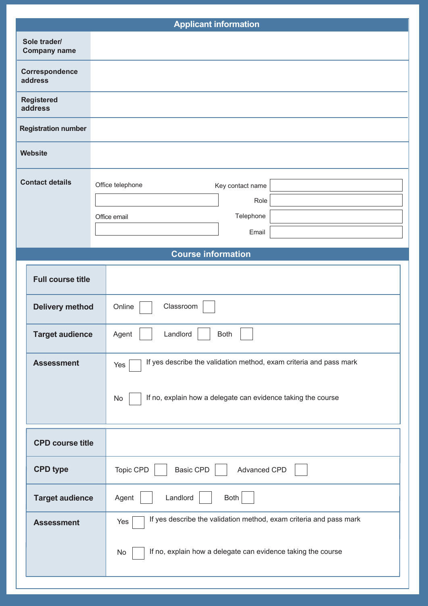|                        |                                     | <b>Applicant information</b>                                              |
|------------------------|-------------------------------------|---------------------------------------------------------------------------|
|                        | Sole trader/<br><b>Company name</b> |                                                                           |
|                        | Correspondence<br>address           |                                                                           |
|                        | <b>Registered</b><br>address        |                                                                           |
|                        | <b>Registration number</b>          |                                                                           |
|                        | <b>Website</b>                      |                                                                           |
| <b>Contact details</b> |                                     | Office telephone<br>Key contact name                                      |
|                        |                                     | Role<br>Telephone                                                         |
|                        |                                     | Office email<br>Email                                                     |
|                        |                                     |                                                                           |
|                        |                                     | <b>Course information</b>                                                 |
|                        | <b>Full course title</b>            |                                                                           |
|                        | <b>Delivery method</b>              | Classroom<br>Online                                                       |
|                        | <b>Target audience</b>              | Landlord<br>Both<br>Agent                                                 |
|                        | <b>Assessment</b>                   | If yes describe the validation method, exam criteria and pass mark<br>Yes |
|                        |                                     | If no, explain how a delegate can evidence taking the course<br>No        |
|                        | <b>CPD course title</b>             |                                                                           |
|                        | <b>CPD type</b>                     | Topic CPD<br><b>Basic CPD</b><br>Advanced CPD                             |
|                        | <b>Target audience</b>              | Landlord<br>Agent<br>Both                                                 |
|                        | <b>Assessment</b>                   | If yes describe the validation method, exam criteria and pass mark<br>Yes |
|                        |                                     | If no, explain how a delegate can evidence taking the course<br>No        |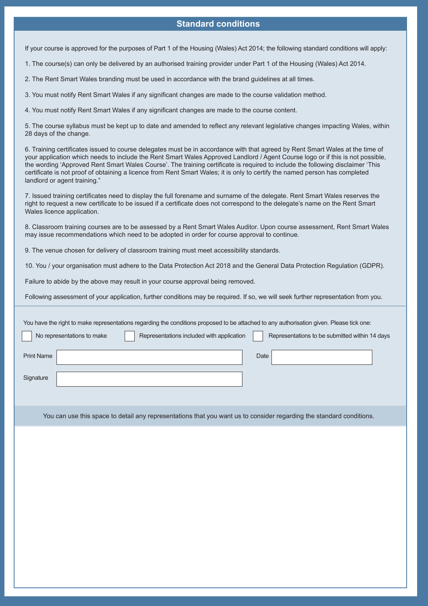#### **Standard conditions**

If your course is approved for the purposes of Part 1 of the Housing (Wales) Act 2014; the following standard conditions will apply:

1. The course(s) can only be delivered by an authorised training provider under Part 1 of the Housing (Wales) Act 2014.

2. The Rent Smart Wales branding must be used in accordance with the brand guidelines at all times.

3. You must notify Rent Smart Wales if any significant changes are made to the course validation method.

4. You must notify Rent Smart Wales if any significant changes are made to the course content.

5. The course syllabus must be kept up to date and amended to reflect any relevant legislative changes impacting Wales, within 28 days of the change.

6. Training certificates issued to course delegates must be in accordance with that agreed by Rent Smart Wales at the time of your application which needs to include the Rent Smart Wales Approved Landlord / Agent Course logo or if this is not possible, the wording 'Approved Rent Smart Wales Course'. The training certificate is required to include the following disclaimer 'This certificate is not proof of obtaining a licence from Rent Smart Wales; it is only to certify the named person has completed landlord or agent training."

7. Issued training certificates need to display the full forename and surname of the delegate. Rent Smart Wales reserves the right to request a new certificate to be issued if a certificate does not correspond to the delegate's name on the Rent Smart Wales licence application.

8. Classroom training courses are to be assessed by a Rent Smart Wales Auditor. Upon course assessment, Rent Smart Wales may issue recommendations which need to be adopted in order for course approval to continue.

9. The venue chosen for delivery of classroom training must meet accessibility standards.

10. You / your organisation must adhere to the Data Protection Act 2018 and the General Data Protection Regulation (GDPR).

Failure to abide by the above may result in your course approval being removed.

Following assessment of your application, further conditions may be required. If so, we will seek further representation from you.

| You have the right to make representations regarding the conditions proposed to be attached to any authorisation given. Please tick one: |  |
|------------------------------------------------------------------------------------------------------------------------------------------|--|
| Representations included with application<br>No representations to make<br>Representations to be submitted within 14 days                |  |
| <b>Print Name</b><br>Date                                                                                                                |  |
| Signature                                                                                                                                |  |

You can use this space to detail any representations that you want us to consider regarding the standard conditions.